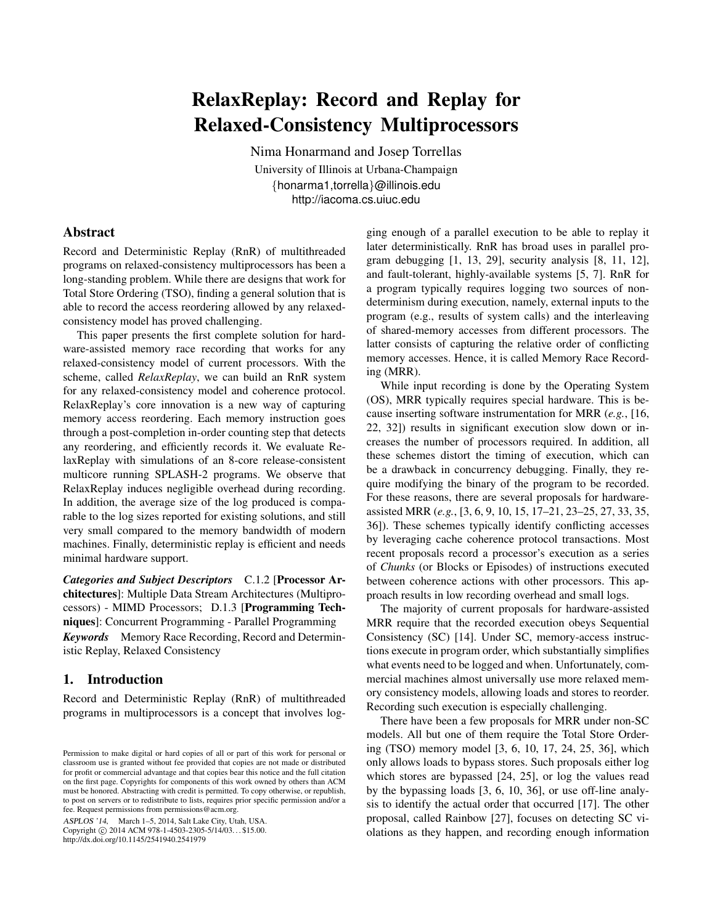# RelaxReplay: Record and Replay for Relaxed-Consistency Multiprocessors

Nima Honarmand and Josep Torrellas University of Illinois at Urbana-Champaign {honarma1,torrella}@illinois.edu http://iacoma.cs.uiuc.edu

# Abstract

Record and Deterministic Replay (RnR) of multithreaded programs on relaxed-consistency multiprocessors has been a long-standing problem. While there are designs that work for Total Store Ordering (TSO), finding a general solution that is able to record the access reordering allowed by any relaxedconsistency model has proved challenging.

This paper presents the first complete solution for hardware-assisted memory race recording that works for any relaxed-consistency model of current processors. With the scheme, called *RelaxReplay*, we can build an RnR system for any relaxed-consistency model and coherence protocol. RelaxReplay's core innovation is a new way of capturing memory access reordering. Each memory instruction goes through a post-completion in-order counting step that detects any reordering, and efficiently records it. We evaluate RelaxReplay with simulations of an 8-core release-consistent multicore running SPLASH-2 programs. We observe that RelaxReplay induces negligible overhead during recording. In addition, the average size of the log produced is comparable to the log sizes reported for existing solutions, and still very small compared to the memory bandwidth of modern machines. Finally, deterministic replay is efficient and needs minimal hardware support.

*Categories and Subject Descriptors* C.1.2 [Processor Architectures]: Multiple Data Stream Architectures (Multiprocessors) - MIMD Processors; D.1.3 [Programming Techniques]: Concurrent Programming - Parallel Programming *Keywords* Memory Race Recording, Record and Deterministic Replay, Relaxed Consistency

# 1. Introduction

Record and Deterministic Replay (RnR) of multithreaded programs in multiprocessors is a concept that involves log-

ASPLOS '14, March 1–5, 2014, Salt Lake City, Utah, USA. Copyright © 2014 ACM 978-1-4503-2305-5/14/03... \$15.00. http://dx.doi.org/10.1145/2541940.2541979

ging enough of a parallel execution to be able to replay it later deterministically. RnR has broad uses in parallel program debugging [1, 13, 29], security analysis [8, 11, 12], and fault-tolerant, highly-available systems [5, 7]. RnR for a program typically requires logging two sources of nondeterminism during execution, namely, external inputs to the program (e.g., results of system calls) and the interleaving of shared-memory accesses from different processors. The latter consists of capturing the relative order of conflicting memory accesses. Hence, it is called Memory Race Recording (MRR).

While input recording is done by the Operating System (OS), MRR typically requires special hardware. This is because inserting software instrumentation for MRR (*e.g.*, [16, 22, 32]) results in significant execution slow down or increases the number of processors required. In addition, all these schemes distort the timing of execution, which can be a drawback in concurrency debugging. Finally, they require modifying the binary of the program to be recorded. For these reasons, there are several proposals for hardwareassisted MRR (*e.g.*, [3, 6, 9, 10, 15, 17–21, 23–25, 27, 33, 35, 36]). These schemes typically identify conflicting accesses by leveraging cache coherence protocol transactions. Most recent proposals record a processor's execution as a series of *Chunks* (or Blocks or Episodes) of instructions executed between coherence actions with other processors. This approach results in low recording overhead and small logs.

The majority of current proposals for hardware-assisted MRR require that the recorded execution obeys Sequential Consistency (SC) [14]. Under SC, memory-access instructions execute in program order, which substantially simplifies what events need to be logged and when. Unfortunately, commercial machines almost universally use more relaxed memory consistency models, allowing loads and stores to reorder. Recording such execution is especially challenging.

There have been a few proposals for MRR under non-SC models. All but one of them require the Total Store Ordering (TSO) memory model [3, 6, 10, 17, 24, 25, 36], which only allows loads to bypass stores. Such proposals either log which stores are bypassed [24, 25], or log the values read by the bypassing loads [3, 6, 10, 36], or use off-line analysis to identify the actual order that occurred [17]. The other proposal, called Rainbow [27], focuses on detecting SC violations as they happen, and recording enough information

Permission to make digital or hard copies of all or part of this work for personal or classroom use is granted without fee provided that copies are not made or distributed for profit or commercial advantage and that copies bear this notice and the full citation on the first page. Copyrights for components of this work owned by others than ACM must be honored. Abstracting with credit is permitted. To copy otherwise, or republish, to post on servers or to redistribute to lists, requires prior specific permission and/or a fee. Request permissions from permissions@acm.org.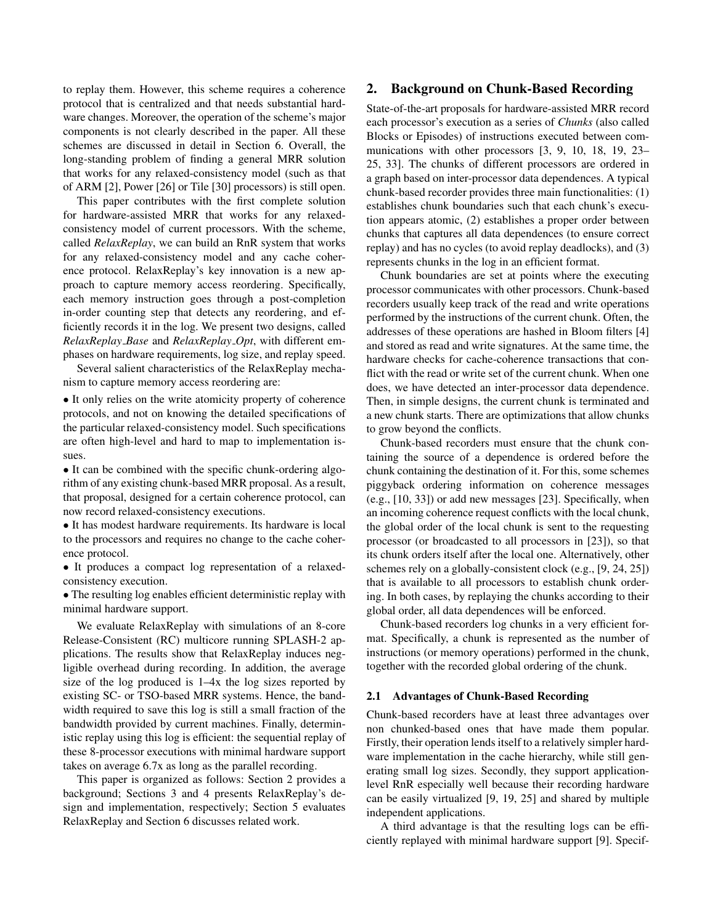to replay them. However, this scheme requires a coherence protocol that is centralized and that needs substantial hardware changes. Moreover, the operation of the scheme's major components is not clearly described in the paper. All these schemes are discussed in detail in Section 6. Overall, the long-standing problem of finding a general MRR solution that works for any relaxed-consistency model (such as that of ARM [2], Power [26] or Tile [30] processors) is still open.

This paper contributes with the first complete solution for hardware-assisted MRR that works for any relaxedconsistency model of current processors. With the scheme, called *RelaxReplay*, we can build an RnR system that works for any relaxed-consistency model and any cache coherence protocol. RelaxReplay's key innovation is a new approach to capture memory access reordering. Specifically, each memory instruction goes through a post-completion in-order counting step that detects any reordering, and efficiently records it in the log. We present two designs, called *RelaxReplay Base* and *RelaxReplay Opt*, with different emphases on hardware requirements, log size, and replay speed.

Several salient characteristics of the RelaxReplay mechanism to capture memory access reordering are:

• It only relies on the write atomicity property of coherence protocols, and not on knowing the detailed specifications of the particular relaxed-consistency model. Such specifications are often high-level and hard to map to implementation issues.

• It can be combined with the specific chunk-ordering algorithm of any existing chunk-based MRR proposal. As a result, that proposal, designed for a certain coherence protocol, can now record relaxed-consistency executions.

• It has modest hardware requirements. Its hardware is local to the processors and requires no change to the cache coherence protocol.

• It produces a compact log representation of a relaxedconsistency execution.

• The resulting log enables efficient deterministic replay with minimal hardware support.

We evaluate RelaxReplay with simulations of an 8-core Release-Consistent (RC) multicore running SPLASH-2 applications. The results show that RelaxReplay induces negligible overhead during recording. In addition, the average size of the log produced is 1–4x the log sizes reported by existing SC- or TSO-based MRR systems. Hence, the bandwidth required to save this log is still a small fraction of the bandwidth provided by current machines. Finally, deterministic replay using this log is efficient: the sequential replay of these 8-processor executions with minimal hardware support takes on average 6.7x as long as the parallel recording.

This paper is organized as follows: Section 2 provides a background; Sections 3 and 4 presents RelaxReplay's design and implementation, respectively; Section 5 evaluates RelaxReplay and Section 6 discusses related work.

# 2. Background on Chunk-Based Recording

State-of-the-art proposals for hardware-assisted MRR record each processor's execution as a series of *Chunks* (also called Blocks or Episodes) of instructions executed between communications with other processors [3, 9, 10, 18, 19, 23– 25, 33]. The chunks of different processors are ordered in a graph based on inter-processor data dependences. A typical chunk-based recorder provides three main functionalities: (1) establishes chunk boundaries such that each chunk's execution appears atomic, (2) establishes a proper order between chunks that captures all data dependences (to ensure correct replay) and has no cycles (to avoid replay deadlocks), and (3) represents chunks in the log in an efficient format.

Chunk boundaries are set at points where the executing processor communicates with other processors. Chunk-based recorders usually keep track of the read and write operations performed by the instructions of the current chunk. Often, the addresses of these operations are hashed in Bloom filters [4] and stored as read and write signatures. At the same time, the hardware checks for cache-coherence transactions that conflict with the read or write set of the current chunk. When one does, we have detected an inter-processor data dependence. Then, in simple designs, the current chunk is terminated and a new chunk starts. There are optimizations that allow chunks to grow beyond the conflicts.

Chunk-based recorders must ensure that the chunk containing the source of a dependence is ordered before the chunk containing the destination of it. For this, some schemes piggyback ordering information on coherence messages (e.g., [10, 33]) or add new messages [23]. Specifically, when an incoming coherence request conflicts with the local chunk, the global order of the local chunk is sent to the requesting processor (or broadcasted to all processors in [23]), so that its chunk orders itself after the local one. Alternatively, other schemes rely on a globally-consistent clock (e.g., [9, 24, 25]) that is available to all processors to establish chunk ordering. In both cases, by replaying the chunks according to their global order, all data dependences will be enforced.

Chunk-based recorders log chunks in a very efficient format. Specifically, a chunk is represented as the number of instructions (or memory operations) performed in the chunk, together with the recorded global ordering of the chunk.

### 2.1 Advantages of Chunk-Based Recording

Chunk-based recorders have at least three advantages over non chunked-based ones that have made them popular. Firstly, their operation lends itself to a relatively simpler hardware implementation in the cache hierarchy, while still generating small log sizes. Secondly, they support applicationlevel RnR especially well because their recording hardware can be easily virtualized [9, 19, 25] and shared by multiple independent applications.

A third advantage is that the resulting logs can be efficiently replayed with minimal hardware support [9]. Specif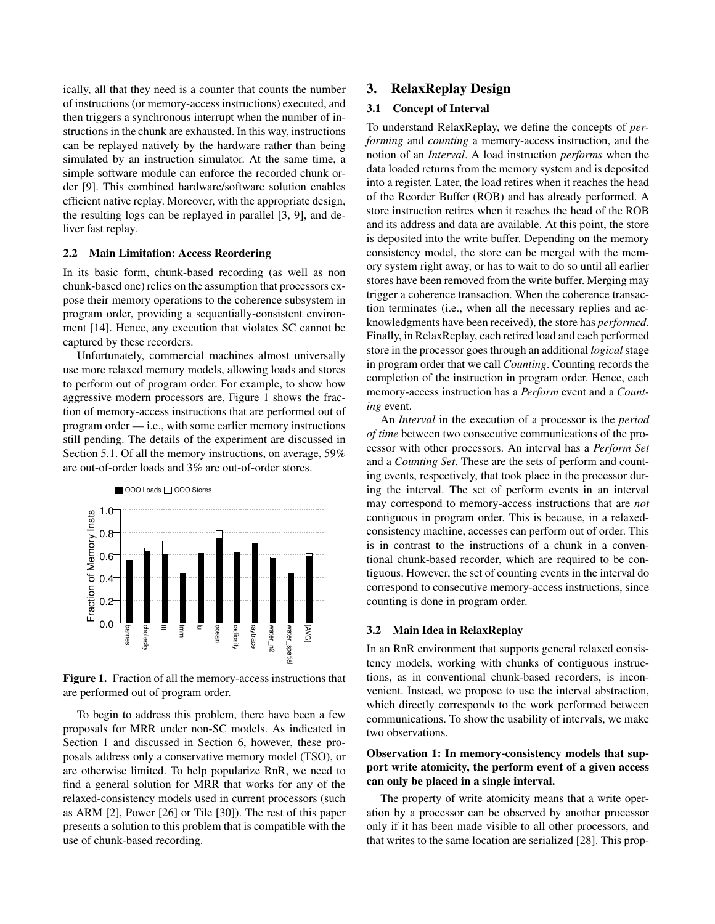ically, all that they need is a counter that counts the number of instructions (or memory-access instructions) executed, and then triggers a synchronous interrupt when the number of instructions in the chunk are exhausted. In this way, instructions can be replayed natively by the hardware rather than being simulated by an instruction simulator. At the same time, a simple software module can enforce the recorded chunk order [9]. This combined hardware/software solution enables efficient native replay. Moreover, with the appropriate design, the resulting logs can be replayed in parallel [3, 9], and deliver fast replay.

### 2.2 Main Limitation: Access Reordering

In its basic form, chunk-based recording (as well as non chunk-based one) relies on the assumption that processors expose their memory operations to the coherence subsystem in program order, providing a sequentially-consistent environment [14]. Hence, any execution that violates SC cannot be captured by these recorders.

Unfortunately, commercial machines almost universally use more relaxed memory models, allowing loads and stores to perform out of program order. For example, to show how aggressive modern processors are, Figure 1 shows the fraction of memory-access instructions that are performed out of program order — i.e., with some earlier memory instructions still pending. The details of the experiment are discussed in Section 5.1. Of all the memory instructions, on average, 59% are out-of-order loads and 3% are out-of-order stores.



Figure 1. Fraction of all the memory-access instructions that are performed out of program order.

To begin to address this problem, there have been a few proposals for MRR under non-SC models. As indicated in Section 1 and discussed in Section 6, however, these proposals address only a conservative memory model (TSO), or are otherwise limited. To help popularize RnR, we need to find a general solution for MRR that works for any of the relaxed-consistency models used in current processors (such as ARM [2], Power [26] or Tile [30]). The rest of this paper presents a solution to this problem that is compatible with the use of chunk-based recording.

# 3. RelaxReplay Design

# 3.1 Concept of Interval

To understand RelaxReplay, we define the concepts of *performing* and *counting* a memory-access instruction, and the notion of an *Interval*. A load instruction *performs* when the data loaded returns from the memory system and is deposited into a register. Later, the load retires when it reaches the head of the Reorder Buffer (ROB) and has already performed. A store instruction retires when it reaches the head of the ROB and its address and data are available. At this point, the store is deposited into the write buffer. Depending on the memory consistency model, the store can be merged with the memory system right away, or has to wait to do so until all earlier stores have been removed from the write buffer. Merging may trigger a coherence transaction. When the coherence transaction terminates (i.e., when all the necessary replies and acknowledgments have been received), the store has *performed*. Finally, in RelaxReplay, each retired load and each performed store in the processor goes through an additional *logical* stage in program order that we call *Counting*. Counting records the completion of the instruction in program order. Hence, each memory-access instruction has a *Perform* event and a *Counting* event.

An *Interval* in the execution of a processor is the *period of time* between two consecutive communications of the processor with other processors. An interval has a *Perform Set* and a *Counting Set*. These are the sets of perform and counting events, respectively, that took place in the processor during the interval. The set of perform events in an interval may correspond to memory-access instructions that are *not* contiguous in program order. This is because, in a relaxedconsistency machine, accesses can perform out of order. This is in contrast to the instructions of a chunk in a conventional chunk-based recorder, which are required to be contiguous. However, the set of counting events in the interval do correspond to consecutive memory-access instructions, since counting is done in program order.

#### 3.2 Main Idea in RelaxReplay

In an RnR environment that supports general relaxed consistency models, working with chunks of contiguous instructions, as in conventional chunk-based recorders, is inconvenient. Instead, we propose to use the interval abstraction, which directly corresponds to the work performed between communications. To show the usability of intervals, we make two observations.

# Observation 1: In memory-consistency models that support write atomicity, the perform event of a given access can only be placed in a single interval.

The property of write atomicity means that a write operation by a processor can be observed by another processor only if it has been made visible to all other processors, and that writes to the same location are serialized [28]. This prop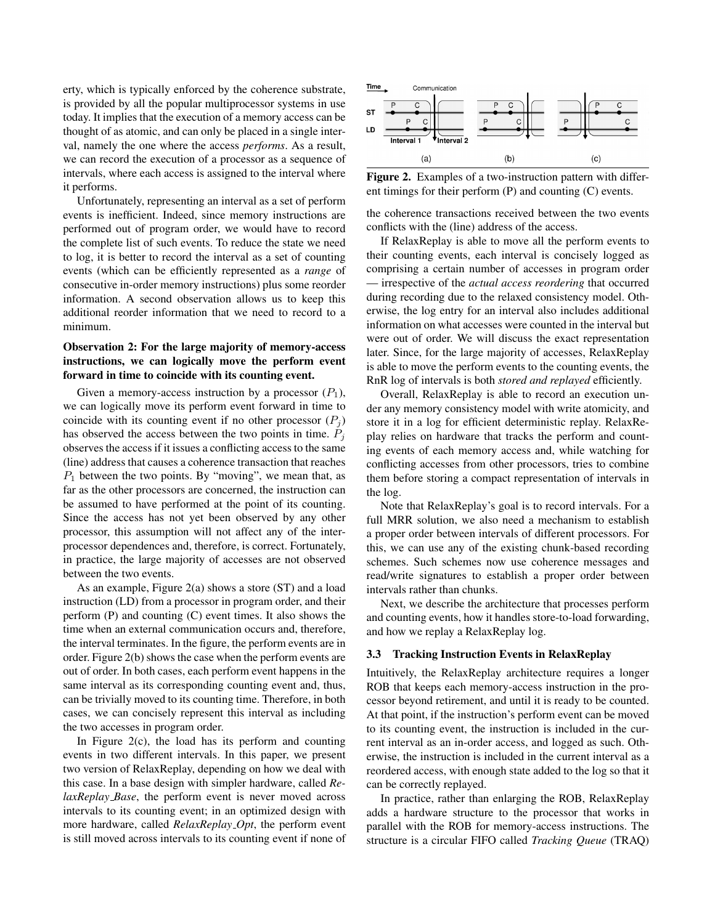erty, which is typically enforced by the coherence substrate, is provided by all the popular multiprocessor systems in use today. It implies that the execution of a memory access can be thought of as atomic, and can only be placed in a single interval, namely the one where the access *performs*. As a result, we can record the execution of a processor as a sequence of intervals, where each access is assigned to the interval where it performs.

Unfortunately, representing an interval as a set of perform events is inefficient. Indeed, since memory instructions are performed out of program order, we would have to record the complete list of such events. To reduce the state we need to log, it is better to record the interval as a set of counting events (which can be efficiently represented as a *range* of consecutive in-order memory instructions) plus some reorder information. A second observation allows us to keep this additional reorder information that we need to record to a minimum.

# Observation 2: For the large majority of memory-access instructions, we can logically move the perform event forward in time to coincide with its counting event.

Given a memory-access instruction by a processor  $(P_1)$ , we can logically move its perform event forward in time to coincide with its counting event if no other processor  $(P_i)$ has observed the access between the two points in time.  $P_i$ observes the access if it issues a conflicting access to the same (line) address that causes a coherence transaction that reaches  $P_1$  between the two points. By "moving", we mean that, as far as the other processors are concerned, the instruction can be assumed to have performed at the point of its counting. Since the access has not yet been observed by any other processor, this assumption will not affect any of the interprocessor dependences and, therefore, is correct. Fortunately, in practice, the large majority of accesses are not observed between the two events.

As an example, Figure 2(a) shows a store (ST) and a load instruction (LD) from a processor in program order, and their perform (P) and counting (C) event times. It also shows the time when an external communication occurs and, therefore, the interval terminates. In the figure, the perform events are in order. Figure 2(b) shows the case when the perform events are out of order. In both cases, each perform event happens in the same interval as its corresponding counting event and, thus, can be trivially moved to its counting time. Therefore, in both cases, we can concisely represent this interval as including the two accesses in program order.

In Figure  $2(c)$ , the load has its perform and counting events in two different intervals. In this paper, we present two version of RelaxReplay, depending on how we deal with this case. In a base design with simpler hardware, called *RelaxReplay Base*, the perform event is never moved across intervals to its counting event; in an optimized design with more hardware, called *RelaxReplay Opt*, the perform event is still moved across intervals to its counting event if none of



**Figure 2.** Examples of a two-instruction pattern with different timings for their perform (P) and counting (C) events.

the coherence transactions received between the two events conflicts with the (line) address of the access.

If RelaxReplay is able to move all the perform events to their counting events, each interval is concisely logged as comprising a certain number of accesses in program order — irrespective of the *actual access reordering* that occurred during recording due to the relaxed consistency model. Otherwise, the log entry for an interval also includes additional information on what accesses were counted in the interval but were out of order. We will discuss the exact representation later. Since, for the large majority of accesses, RelaxReplay is able to move the perform events to the counting events, the RnR log of intervals is both *stored and replayed* efficiently.

Overall, RelaxReplay is able to record an execution under any memory consistency model with write atomicity, and store it in a log for efficient deterministic replay. RelaxReplay relies on hardware that tracks the perform and counting events of each memory access and, while watching for conflicting accesses from other processors, tries to combine them before storing a compact representation of intervals in the log.

Note that RelaxReplay's goal is to record intervals. For a full MRR solution, we also need a mechanism to establish a proper order between intervals of different processors. For this, we can use any of the existing chunk-based recording schemes. Such schemes now use coherence messages and read/write signatures to establish a proper order between intervals rather than chunks.

Next, we describe the architecture that processes perform and counting events, how it handles store-to-load forwarding, and how we replay a RelaxReplay log.

#### 3.3 Tracking Instruction Events in RelaxReplay

Intuitively, the RelaxReplay architecture requires a longer ROB that keeps each memory-access instruction in the processor beyond retirement, and until it is ready to be counted. At that point, if the instruction's perform event can be moved to its counting event, the instruction is included in the current interval as an in-order access, and logged as such. Otherwise, the instruction is included in the current interval as a reordered access, with enough state added to the log so that it can be correctly replayed.

In practice, rather than enlarging the ROB, RelaxReplay adds a hardware structure to the processor that works in parallel with the ROB for memory-access instructions. The structure is a circular FIFO called *Tracking Queue* (TRAQ)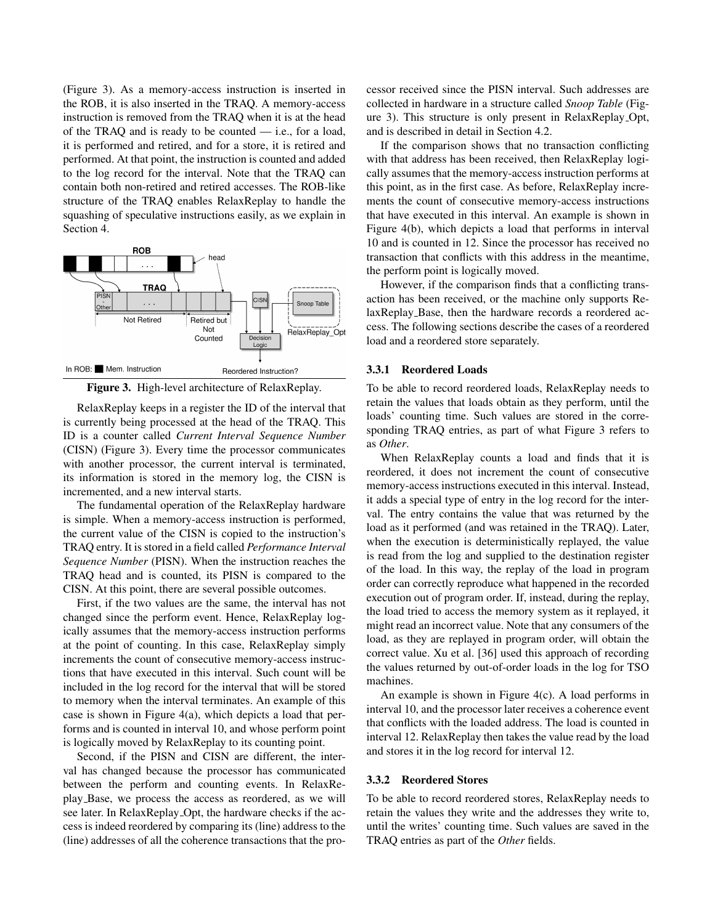(Figure 3). As a memory-access instruction is inserted in the ROB, it is also inserted in the TRAQ. A memory-access instruction is removed from the TRAQ when it is at the head of the TRAQ and is ready to be counted — i.e., for a load, it is performed and retired, and for a store, it is retired and performed. At that point, the instruction is counted and added to the log record for the interval. Note that the TRAQ can contain both non-retired and retired accesses. The ROB-like structure of the TRAQ enables RelaxReplay to handle the squashing of speculative instructions easily, as we explain in Section 4.



Figure 3. High-level architecture of RelaxReplay.

RelaxReplay keeps in a register the ID of the interval that is currently being processed at the head of the TRAQ. This ID is a counter called *Current Interval Sequence Number* (CISN) (Figure 3). Every time the processor communicates with another processor, the current interval is terminated, its information is stored in the memory log, the CISN is incremented, and a new interval starts.

The fundamental operation of the RelaxReplay hardware is simple. When a memory-access instruction is performed, the current value of the CISN is copied to the instruction's TRAQ entry. It is stored in a field called *Performance Interval Sequence Number* (PISN). When the instruction reaches the TRAQ head and is counted, its PISN is compared to the CISN. At this point, there are several possible outcomes.

First, if the two values are the same, the interval has not changed since the perform event. Hence, RelaxReplay logically assumes that the memory-access instruction performs at the point of counting. In this case, RelaxReplay simply increments the count of consecutive memory-access instructions that have executed in this interval. Such count will be included in the log record for the interval that will be stored to memory when the interval terminates. An example of this case is shown in Figure 4(a), which depicts a load that performs and is counted in interval 10, and whose perform point is logically moved by RelaxReplay to its counting point.

Second, if the PISN and CISN are different, the interval has changed because the processor has communicated between the perform and counting events. In RelaxReplay Base, we process the access as reordered, as we will see later. In RelaxReplay Opt, the hardware checks if the access is indeed reordered by comparing its (line) address to the (line) addresses of all the coherence transactions that the processor received since the PISN interval. Such addresses are collected in hardware in a structure called *Snoop Table* (Figure 3). This structure is only present in RelaxReplay Opt, and is described in detail in Section 4.2.

If the comparison shows that no transaction conflicting with that address has been received, then RelaxReplay logically assumes that the memory-access instruction performs at this point, as in the first case. As before, RelaxReplay increments the count of consecutive memory-access instructions that have executed in this interval. An example is shown in Figure 4(b), which depicts a load that performs in interval 10 and is counted in 12. Since the processor has received no transaction that conflicts with this address in the meantime, the perform point is logically moved.

However, if the comparison finds that a conflicting transaction has been received, or the machine only supports RelaxReplay Base, then the hardware records a reordered access. The following sections describe the cases of a reordered load and a reordered store separately.

# 3.3.1 Reordered Loads

To be able to record reordered loads, RelaxReplay needs to retain the values that loads obtain as they perform, until the loads' counting time. Such values are stored in the corresponding TRAQ entries, as part of what Figure 3 refers to as *Other*.

When RelaxReplay counts a load and finds that it is reordered, it does not increment the count of consecutive memory-access instructions executed in this interval. Instead, it adds a special type of entry in the log record for the interval. The entry contains the value that was returned by the load as it performed (and was retained in the TRAQ). Later, when the execution is deterministically replayed, the value is read from the log and supplied to the destination register of the load. In this way, the replay of the load in program order can correctly reproduce what happened in the recorded execution out of program order. If, instead, during the replay, the load tried to access the memory system as it replayed, it might read an incorrect value. Note that any consumers of the load, as they are replayed in program order, will obtain the correct value. Xu et al. [36] used this approach of recording the values returned by out-of-order loads in the log for TSO machines.

An example is shown in Figure 4(c). A load performs in interval 10, and the processor later receives a coherence event that conflicts with the loaded address. The load is counted in interval 12. RelaxReplay then takes the value read by the load and stores it in the log record for interval 12.

# 3.3.2 Reordered Stores

To be able to record reordered stores, RelaxReplay needs to retain the values they write and the addresses they write to, until the writes' counting time. Such values are saved in the TRAQ entries as part of the *Other* fields.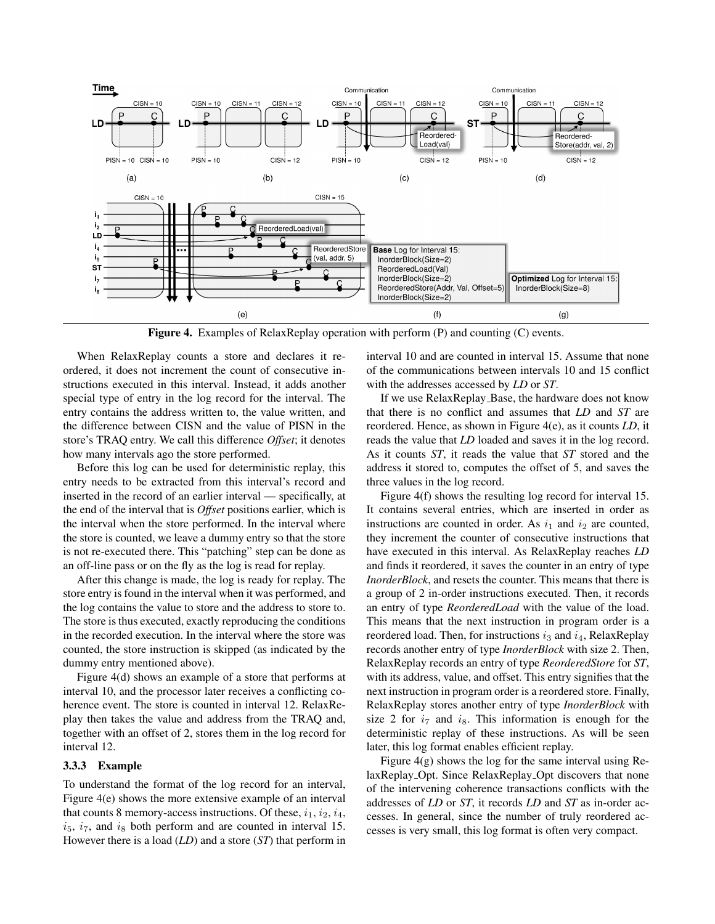

Figure 4. Examples of RelaxReplay operation with perform (P) and counting (C) events.

When RelaxReplay counts a store and declares it reordered, it does not increment the count of consecutive instructions executed in this interval. Instead, it adds another special type of entry in the log record for the interval. The entry contains the address written to, the value written, and the difference between CISN and the value of PISN in the store's TRAQ entry. We call this difference *Offset*; it denotes how many intervals ago the store performed.

Before this log can be used for deterministic replay, this entry needs to be extracted from this interval's record and inserted in the record of an earlier interval — specifically, at the end of the interval that is *Offset* positions earlier, which is the interval when the store performed. In the interval where the store is counted, we leave a dummy entry so that the store is not re-executed there. This "patching" step can be done as an off-line pass or on the fly as the log is read for replay.

After this change is made, the log is ready for replay. The store entry is found in the interval when it was performed, and the log contains the value to store and the address to store to. The store is thus executed, exactly reproducing the conditions in the recorded execution. In the interval where the store was counted, the store instruction is skipped (as indicated by the dummy entry mentioned above).

Figure 4(d) shows an example of a store that performs at interval 10, and the processor later receives a conflicting coherence event. The store is counted in interval 12. RelaxReplay then takes the value and address from the TRAQ and, together with an offset of 2, stores them in the log record for interval 12.

#### 3.3.3 Example

To understand the format of the log record for an interval, Figure 4(e) shows the more extensive example of an interval that counts 8 memory-access instructions. Of these,  $i_1$ ,  $i_2$ ,  $i_4$ ,  $i_5$ ,  $i_7$ , and  $i_8$  both perform and are counted in interval 15. However there is a load (*LD*) and a store (*ST*) that perform in

interval 10 and are counted in interval 15. Assume that none of the communications between intervals 10 and 15 conflict with the addresses accessed by *LD* or *ST*.

If we use RelaxReplay Base, the hardware does not know that there is no conflict and assumes that *LD* and *ST* are reordered. Hence, as shown in Figure 4(e), as it counts *LD*, it reads the value that *LD* loaded and saves it in the log record. As it counts *ST*, it reads the value that *ST* stored and the address it stored to, computes the offset of 5, and saves the three values in the log record.

Figure 4(f) shows the resulting log record for interval 15. It contains several entries, which are inserted in order as instructions are counted in order. As  $i_1$  and  $i_2$  are counted, they increment the counter of consecutive instructions that have executed in this interval. As RelaxReplay reaches *LD* and finds it reordered, it saves the counter in an entry of type *InorderBlock*, and resets the counter. This means that there is a group of 2 in-order instructions executed. Then, it records an entry of type *ReorderedLoad* with the value of the load. This means that the next instruction in program order is a reordered load. Then, for instructions  $i_3$  and  $i_4$ , RelaxReplay records another entry of type *InorderBlock* with size 2. Then, RelaxReplay records an entry of type *ReorderedStore* for *ST*, with its address, value, and offset. This entry signifies that the next instruction in program order is a reordered store. Finally, RelaxReplay stores another entry of type *InorderBlock* with size 2 for  $i_7$  and  $i_8$ . This information is enough for the deterministic replay of these instructions. As will be seen later, this log format enables efficient replay.

Figure 4(g) shows the log for the same interval using RelaxReplay Opt. Since RelaxReplay Opt discovers that none of the intervening coherence transactions conflicts with the addresses of *LD* or *ST*, it records *LD* and *ST* as in-order accesses. In general, since the number of truly reordered accesses is very small, this log format is often very compact.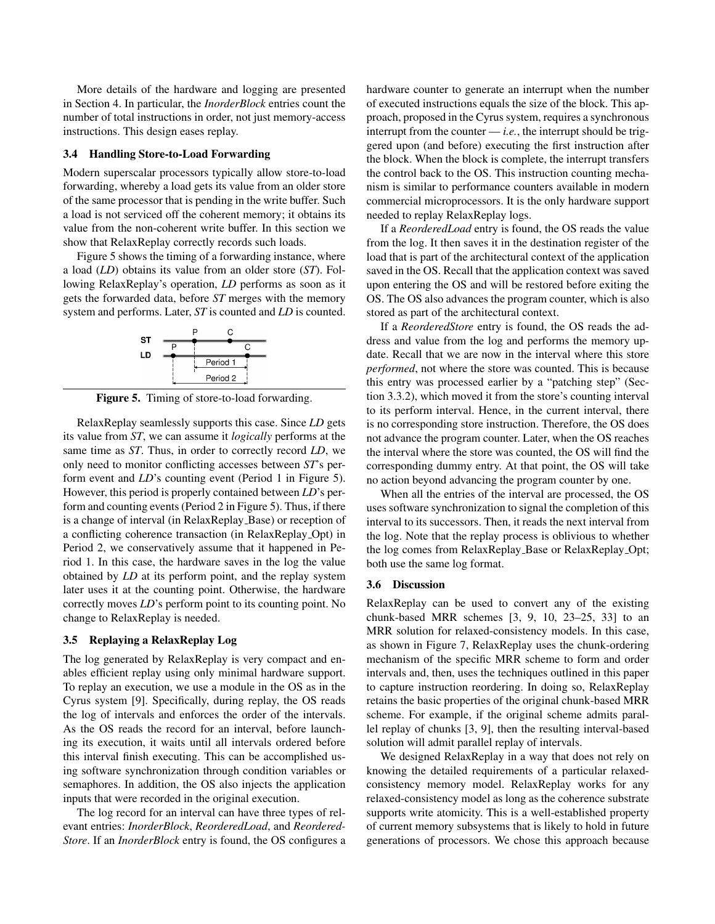More details of the hardware and logging are presented in Section 4. In particular, the *InorderBlock* entries count the number of total instructions in order, not just memory-access instructions. This design eases replay.

## 3.4 Handling Store-to-Load Forwarding

Modern superscalar processors typically allow store-to-load forwarding, whereby a load gets its value from an older store of the same processor that is pending in the write buffer. Such a load is not serviced off the coherent memory; it obtains its value from the non-coherent write buffer. In this section we show that RelaxReplay correctly records such loads.

Figure 5 shows the timing of a forwarding instance, where a load (*LD*) obtains its value from an older store (*ST*). Following RelaxReplay's operation, *LD* performs as soon as it gets the forwarded data, before *ST* merges with the memory system and performs. Later, *ST* is counted and *LD* is counted.



Figure 5. Timing of store-to-load forwarding.

RelaxReplay seamlessly supports this case. Since *LD* gets its value from *ST*, we can assume it *logically* performs at the same time as *ST*. Thus, in order to correctly record *LD*, we only need to monitor conflicting accesses between *ST*'s perform event and *LD*'s counting event (Period 1 in Figure 5). However, this period is properly contained between *LD*'s perform and counting events(Period 2 in Figure 5). Thus, if there is a change of interval (in RelaxReplay Base) or reception of a conflicting coherence transaction (in RelaxReplay Opt) in Period 2, we conservatively assume that it happened in Period 1. In this case, the hardware saves in the log the value obtained by *LD* at its perform point, and the replay system later uses it at the counting point. Otherwise, the hardware correctly moves *LD*'s perform point to its counting point. No change to RelaxReplay is needed.

# 3.5 Replaying a RelaxReplay Log

The log generated by RelaxReplay is very compact and enables efficient replay using only minimal hardware support. To replay an execution, we use a module in the OS as in the Cyrus system [9]. Specifically, during replay, the OS reads the log of intervals and enforces the order of the intervals. As the OS reads the record for an interval, before launching its execution, it waits until all intervals ordered before this interval finish executing. This can be accomplished using software synchronization through condition variables or semaphores. In addition, the OS also injects the application inputs that were recorded in the original execution.

The log record for an interval can have three types of relevant entries: *InorderBlock*, *ReorderedLoad*, and *Reordered-Store*. If an *InorderBlock* entry is found, the OS configures a hardware counter to generate an interrupt when the number of executed instructions equals the size of the block. This approach, proposed in the Cyrus system, requires a synchronous interrupt from the counter  $\frac{d}{dt}$ . the interrupt should be triggered upon (and before) executing the first instruction after the block. When the block is complete, the interrupt transfers the control back to the OS. This instruction counting mechanism is similar to performance counters available in modern commercial microprocessors. It is the only hardware support needed to replay RelaxReplay logs.

If a *ReorderedLoad* entry is found, the OS reads the value from the log. It then saves it in the destination register of the load that is part of the architectural context of the application saved in the OS. Recall that the application context was saved upon entering the OS and will be restored before exiting the OS. The OS also advances the program counter, which is also stored as part of the architectural context.

If a *ReorderedStore* entry is found, the OS reads the address and value from the log and performs the memory update. Recall that we are now in the interval where this store *performed*, not where the store was counted. This is because this entry was processed earlier by a "patching step" (Section 3.3.2), which moved it from the store's counting interval to its perform interval. Hence, in the current interval, there is no corresponding store instruction. Therefore, the OS does not advance the program counter. Later, when the OS reaches the interval where the store was counted, the OS will find the corresponding dummy entry. At that point, the OS will take no action beyond advancing the program counter by one.

When all the entries of the interval are processed, the OS uses software synchronization to signal the completion of this interval to its successors. Then, it reads the next interval from the log. Note that the replay process is oblivious to whether the log comes from RelaxReplay\_Base or RelaxReplay\_Opt; both use the same log format.

#### 3.6 Discussion

RelaxReplay can be used to convert any of the existing chunk-based MRR schemes  $[3, 9, 10, 23-25, 33]$  to an MRR solution for relaxed-consistency models. In this case, as shown in Figure 7, RelaxReplay uses the chunk-ordering mechanism of the specific MRR scheme to form and order intervals and, then, uses the techniques outlined in this paper to capture instruction reordering. In doing so, RelaxReplay retains the basic properties of the original chunk-based MRR scheme. For example, if the original scheme admits parallel replay of chunks [3, 9], then the resulting interval-based solution will admit parallel replay of intervals.

We designed RelaxReplay in a way that does not rely on knowing the detailed requirements of a particular relaxedconsistency memory model. RelaxReplay works for any relaxed-consistency model as long as the coherence substrate supports write atomicity. This is a well-established property of current memory subsystems that is likely to hold in future generations of processors. We chose this approach because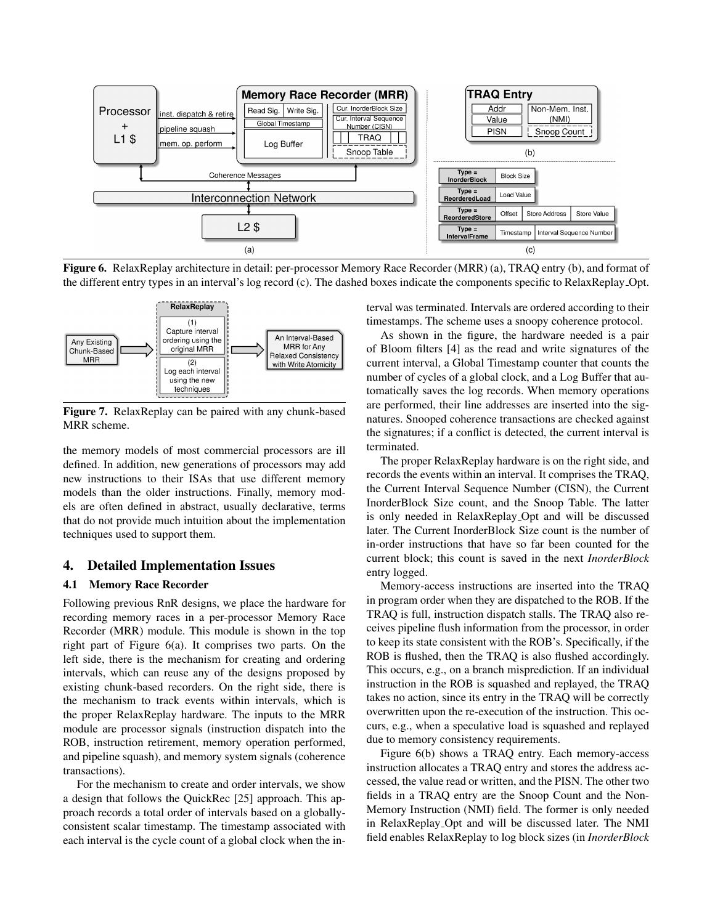

Figure 6. RelaxReplay architecture in detail: per-processor Memory Race Recorder (MRR) (a), TRAQ entry (b), and format of the different entry types in an interval's log record (c). The dashed boxes indicate the components specific to RelaxReplay Opt.



Figure 7. RelaxReplay can be paired with any chunk-based MRR scheme.

the memory models of most commercial processors are ill defined. In addition, new generations of processors may add new instructions to their ISAs that use different memory models than the older instructions. Finally, memory models are often defined in abstract, usually declarative, terms that do not provide much intuition about the implementation techniques used to support them.

# 4. Detailed Implementation Issues

# 4.1 Memory Race Recorder

Following previous RnR designs, we place the hardware for recording memory races in a per-processor Memory Race Recorder (MRR) module. This module is shown in the top right part of Figure 6(a). It comprises two parts. On the left side, there is the mechanism for creating and ordering intervals, which can reuse any of the designs proposed by existing chunk-based recorders. On the right side, there is the mechanism to track events within intervals, which is the proper RelaxReplay hardware. The inputs to the MRR module are processor signals (instruction dispatch into the ROB, instruction retirement, memory operation performed, and pipeline squash), and memory system signals (coherence transactions).

For the mechanism to create and order intervals, we show a design that follows the QuickRec [25] approach. This approach records a total order of intervals based on a globallyconsistent scalar timestamp. The timestamp associated with each interval is the cycle count of a global clock when the interval was terminated. Intervals are ordered according to their timestamps. The scheme uses a snoopy coherence protocol.

As shown in the figure, the hardware needed is a pair of Bloom filters [4] as the read and write signatures of the current interval, a Global Timestamp counter that counts the number of cycles of a global clock, and a Log Buffer that automatically saves the log records. When memory operations are performed, their line addresses are inserted into the signatures. Snooped coherence transactions are checked against the signatures; if a conflict is detected, the current interval is terminated.

The proper RelaxReplay hardware is on the right side, and records the events within an interval. It comprises the TRAQ, the Current Interval Sequence Number (CISN), the Current InorderBlock Size count, and the Snoop Table. The latter is only needed in RelaxReplay Opt and will be discussed later. The Current InorderBlock Size count is the number of in-order instructions that have so far been counted for the current block; this count is saved in the next *InorderBlock* entry logged.

Memory-access instructions are inserted into the TRAQ in program order when they are dispatched to the ROB. If the TRAQ is full, instruction dispatch stalls. The TRAQ also receives pipeline flush information from the processor, in order to keep its state consistent with the ROB's. Specifically, if the ROB is flushed, then the TRAQ is also flushed accordingly. This occurs, e.g., on a branch misprediction. If an individual instruction in the ROB is squashed and replayed, the TRAQ takes no action, since its entry in the TRAQ will be correctly overwritten upon the re-execution of the instruction. This occurs, e.g., when a speculative load is squashed and replayed due to memory consistency requirements.

Figure 6(b) shows a TRAQ entry. Each memory-access instruction allocates a TRAQ entry and stores the address accessed, the value read or written, and the PISN. The other two fields in a TRAQ entry are the Snoop Count and the Non-Memory Instruction (NMI) field. The former is only needed in RelaxReplay Opt and will be discussed later. The NMI field enables RelaxReplay to log block sizes (in *InorderBlock*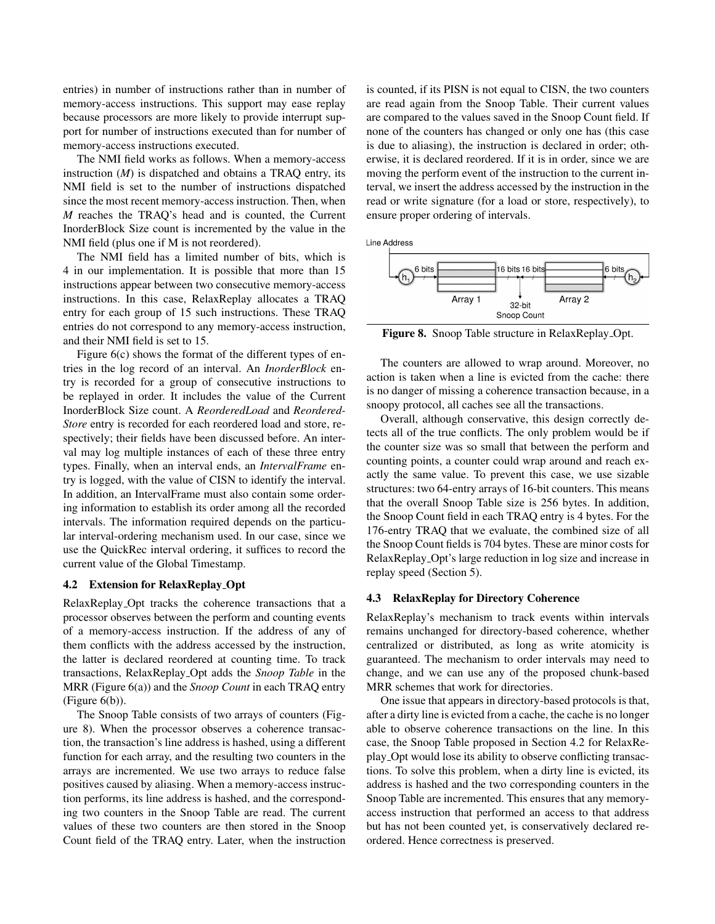entries) in number of instructions rather than in number of memory-access instructions. This support may ease replay because processors are more likely to provide interrupt support for number of instructions executed than for number of memory-access instructions executed.

The NMI field works as follows. When a memory-access instruction (*M*) is dispatched and obtains a TRAQ entry, its NMI field is set to the number of instructions dispatched since the most recent memory-access instruction. Then, when *M* reaches the TRAQ's head and is counted, the Current InorderBlock Size count is incremented by the value in the NMI field (plus one if M is not reordered).

The NMI field has a limited number of bits, which is 4 in our implementation. It is possible that more than 15 instructions appear between two consecutive memory-access instructions. In this case, RelaxReplay allocates a TRAQ entry for each group of 15 such instructions. These TRAQ entries do not correspond to any memory-access instruction, and their NMI field is set to 15.

Figure 6(c) shows the format of the different types of entries in the log record of an interval. An *InorderBlock* entry is recorded for a group of consecutive instructions to be replayed in order. It includes the value of the Current InorderBlock Size count. A *ReorderedLoad* and *Reordered-Store* entry is recorded for each reordered load and store, respectively; their fields have been discussed before. An interval may log multiple instances of each of these three entry types. Finally, when an interval ends, an *IntervalFrame* entry is logged, with the value of CISN to identify the interval. In addition, an IntervalFrame must also contain some ordering information to establish its order among all the recorded intervals. The information required depends on the particular interval-ordering mechanism used. In our case, since we use the QuickRec interval ordering, it suffices to record the current value of the Global Timestamp.

### 4.2 Extension for RelaxReplay Opt

RelaxReplay Opt tracks the coherence transactions that a processor observes between the perform and counting events of a memory-access instruction. If the address of any of them conflicts with the address accessed by the instruction, the latter is declared reordered at counting time. To track transactions, RelaxReplay Opt adds the *Snoop Table* in the MRR (Figure 6(a)) and the *Snoop Count* in each TRAQ entry (Figure 6(b)).

The Snoop Table consists of two arrays of counters (Figure 8). When the processor observes a coherence transaction, the transaction's line address is hashed, using a different function for each array, and the resulting two counters in the arrays are incremented. We use two arrays to reduce false positives caused by aliasing. When a memory-access instruction performs, its line address is hashed, and the corresponding two counters in the Snoop Table are read. The current values of these two counters are then stored in the Snoop Count field of the TRAQ entry. Later, when the instruction

is counted, if its PISN is not equal to CISN, the two counters are read again from the Snoop Table. Their current values are compared to the values saved in the Snoop Count field. If none of the counters has changed or only one has (this case is due to aliasing), the instruction is declared in order; otherwise, it is declared reordered. If it is in order, since we are moving the perform event of the instruction to the current interval, we insert the address accessed by the instruction in the read or write signature (for a load or store, respectively), to ensure proper ordering of intervals.





Figure 8. Snoop Table structure in RelaxReplay Opt.

The counters are allowed to wrap around. Moreover, no action is taken when a line is evicted from the cache: there is no danger of missing a coherence transaction because, in a snoopy protocol, all caches see all the transactions.

Overall, although conservative, this design correctly detects all of the true conflicts. The only problem would be if the counter size was so small that between the perform and counting points, a counter could wrap around and reach exactly the same value. To prevent this case, we use sizable structures: two 64-entry arrays of 16-bit counters. This means that the overall Snoop Table size is 256 bytes. In addition, the Snoop Count field in each TRAQ entry is 4 bytes. For the 176-entry TRAQ that we evaluate, the combined size of all the Snoop Count fields is 704 bytes. These are minor costs for RelaxReplay Opt's large reduction in log size and increase in replay speed (Section 5).

#### 4.3 RelaxReplay for Directory Coherence

RelaxReplay's mechanism to track events within intervals remains unchanged for directory-based coherence, whether centralized or distributed, as long as write atomicity is guaranteed. The mechanism to order intervals may need to change, and we can use any of the proposed chunk-based MRR schemes that work for directories.

One issue that appears in directory-based protocols is that, after a dirty line is evicted from a cache, the cache is no longer able to observe coherence transactions on the line. In this case, the Snoop Table proposed in Section 4.2 for RelaxReplay Opt would lose its ability to observe conflicting transactions. To solve this problem, when a dirty line is evicted, its address is hashed and the two corresponding counters in the Snoop Table are incremented. This ensures that any memoryaccess instruction that performed an access to that address but has not been counted yet, is conservatively declared reordered. Hence correctness is preserved.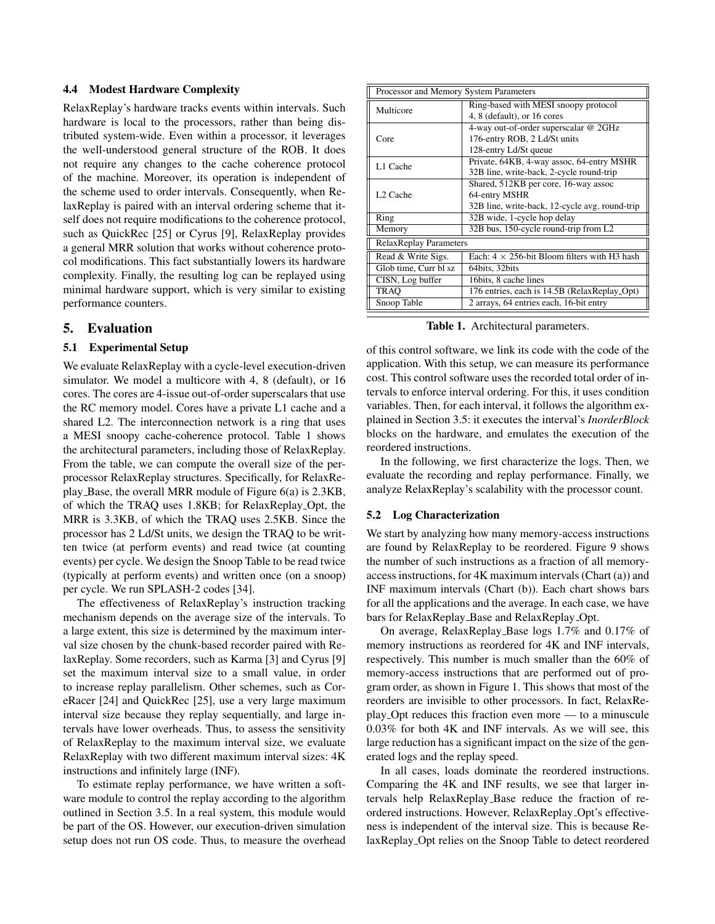### 4.4 Modest Hardware Complexity

RelaxReplay's hardware tracks events within intervals. Such hardware is local to the processors, rather than being distributed system-wide. Even within a processor, it leverages the well-understood general structure of the ROB. It does not require any changes to the cache coherence protocol of the machine. Moreover, its operation is independent of the scheme used to order intervals. Consequently, when RelaxReplay is paired with an interval ordering scheme that itself does not require modifications to the coherence protocol, such as QuickRec [25] or Cyrus [9], RelaxReplay provides a general MRR solution that works without coherence protocol modifications. This fact substantially lowers its hardware complexity. Finally, the resulting log can be replayed using minimal hardware support, which is very similar to existing performance counters.

# 5. Evaluation

### 5.1 Experimental Setup

We evaluate RelaxReplay with a cycle-level execution-driven simulator. We model a multicore with 4, 8 (default), or 16 cores. The cores are 4-issue out-of-order superscalars that use the RC memory model. Cores have a private L1 cache and a shared L2. The interconnection network is a ring that uses a MESI snoopy cache-coherence protocol. Table 1 shows the architectural parameters, including those of RelaxReplay. From the table, we can compute the overall size of the perprocessor RelaxReplay structures. Specifically, for RelaxReplay Base, the overall MRR module of Figure 6(a) is 2.3KB, of which the TRAQ uses 1.8KB; for RelaxReplay Opt, the MRR is 3.3KB, of which the TRAQ uses 2.5KB. Since the processor has 2 Ld/St units, we design the TRAQ to be written twice (at perform events) and read twice (at counting events) per cycle. We design the Snoop Table to be read twice (typically at perform events) and written once (on a snoop) per cycle. We run SPLASH-2 codes [34].

The effectiveness of RelaxReplay's instruction tracking mechanism depends on the average size of the intervals. To a large extent, this size is determined by the maximum interval size chosen by the chunk-based recorder paired with RelaxReplay. Some recorders, such as Karma [3] and Cyrus [9] set the maximum interval size to a small value, in order to increase replay parallelism. Other schemes, such as CoreRacer [24] and QuickRec [25], use a very large maximum interval size because they replay sequentially, and large intervals have lower overheads. Thus, to assess the sensitivity of RelaxReplay to the maximum interval size, we evaluate RelaxReplay with two different maximum interval sizes: 4K instructions and infinitely large (INF).

To estimate replay performance, we have written a software module to control the replay according to the algorithm outlined in Section 3.5. In a real system, this module would be part of the OS. However, our execution-driven simulation setup does not run OS code. Thus, to measure the overhead

| Processor and Memory System Parameters |                                                      |
|----------------------------------------|------------------------------------------------------|
| Multicore                              | Ring-based with MESI snoopy protocol                 |
|                                        | 4, 8 (default), or 16 cores                          |
| Core                                   | 4-way out-of-order superscalar @ 2GHz                |
|                                        | 176-entry ROB, 2 Ld/St units                         |
|                                        | 128-entry Ld/St queue                                |
| L1 Cache                               | Private, 64KB, 4-way assoc, 64-entry MSHR            |
|                                        | 32B line, write-back, 2-cycle round-trip             |
| L <sub>2</sub> Cache                   | Shared, 512KB per core, 16-way assoc                 |
|                                        | 64-entry MSHR                                        |
|                                        | 32B line, write-back, 12-cycle avg. round-trip       |
| Ring                                   | 32B wide, 1-cycle hop delay                          |
| Memory                                 | 32B bus, 150-cycle round-trip from L2                |
| <b>RelaxReplay Parameters</b>          |                                                      |
| Read & Write Sigs.                     | Each: $4 \times 256$ -bit Bloom filters with H3 hash |
| Glob time, Curr bl sz                  | 64bits, 32bits                                       |
| CISN, Log buffer                       | 16bits, 8 cache lines                                |
| TRAO                                   | 176 entries, each is 14.5B (RelaxReplay_Opt)         |
| Snoop Table                            | 2 arrays, 64 entries each, 16-bit entry              |

Table 1. Architectural parameters.

of this control software, we link its code with the code of the application. With this setup, we can measure its performance cost. This control software uses the recorded total order of intervals to enforce interval ordering. For this, it uses condition variables. Then, for each interval, it follows the algorithm explained in Section 3.5: it executes the interval's *InorderBlock* blocks on the hardware, and emulates the execution of the reordered instructions.

In the following, we first characterize the logs. Then, we evaluate the recording and replay performance. Finally, we analyze RelaxReplay's scalability with the processor count.

### 5.2 Log Characterization

We start by analyzing how many memory-access instructions are found by RelaxReplay to be reordered. Figure 9 shows the number of such instructions as a fraction of all memoryaccessinstructions, for 4K maximum intervals(Chart (a)) and INF maximum intervals (Chart (b)). Each chart shows bars for all the applications and the average. In each case, we have bars for RelaxReplay\_Base and RelaxReplay\_Opt.

On average, RelaxReplay Base logs 1.7% and 0.17% of memory instructions as reordered for 4K and INF intervals, respectively. This number is much smaller than the 60% of memory-access instructions that are performed out of program order, as shown in Figure 1. This shows that most of the reorders are invisible to other processors. In fact, RelaxReplay Opt reduces this fraction even more — to a minuscule 0.03% for both 4K and INF intervals. As we will see, this large reduction has a significant impact on the size of the generated logs and the replay speed.

In all cases, loads dominate the reordered instructions. Comparing the 4K and INF results, we see that larger intervals help RelaxReplay Base reduce the fraction of reordered instructions. However, RelaxReplay Opt's effectiveness is independent of the interval size. This is because RelaxReplay Opt relies on the Snoop Table to detect reordered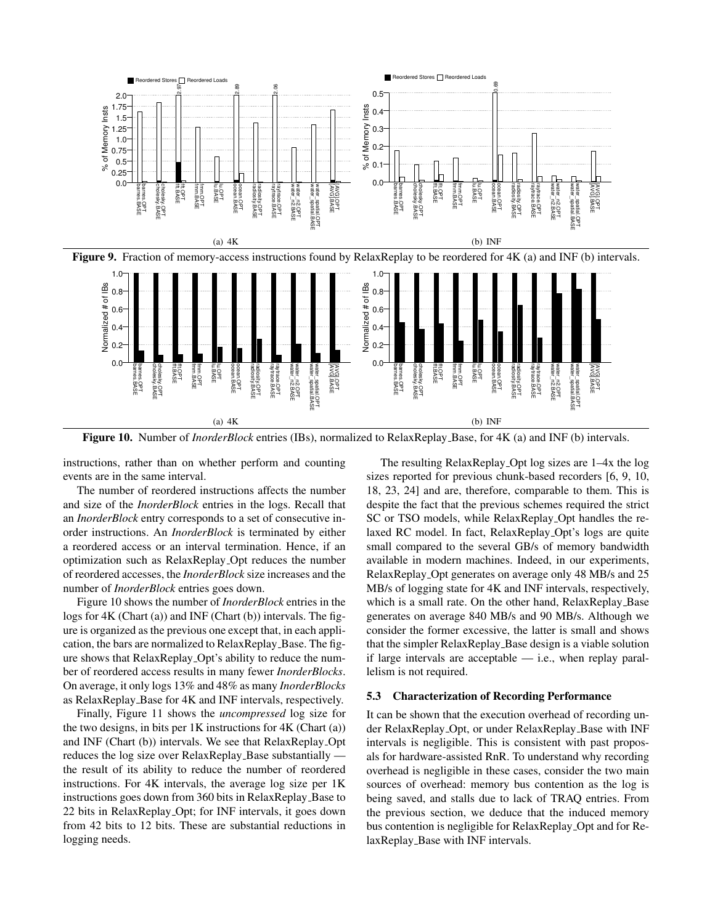

Figure 10. Number of *InorderBlock* entries (IBs), normalized to RelaxReplay Base, for 4K (a) and INF (b) intervals.

instructions, rather than on whether perform and counting events are in the same interval.

The number of reordered instructions affects the number and size of the *InorderBlock* entries in the logs. Recall that an *InorderBlock* entry corresponds to a set of consecutive inorder instructions. An *InorderBlock* is terminated by either a reordered access or an interval termination. Hence, if an optimization such as RelaxReplay Opt reduces the number of reordered accesses, the *InorderBlock* size increases and the number of *InorderBlock* entries goes down.

Figure 10 shows the number of *InorderBlock* entries in the logs for 4K (Chart (a)) and INF (Chart (b)) intervals. The figure is organized as the previous one except that, in each application, the bars are normalized to RelaxReplay\_Base. The figure shows that RelaxReplay Opt's ability to reduce the number of reordered access results in many fewer *InorderBlocks*. On average, it only logs 13% and 48% as many *InorderBlocks* as RelaxReplay Base for 4K and INF intervals, respectively.

Finally, Figure 11 shows the *uncompressed* log size for the two designs, in bits per  $1K$  instructions for  $4K$  (Chart  $(a)$ ) and INF (Chart (b)) intervals. We see that RelaxReplay Opt reduces the log size over RelaxReplay Base substantially the result of its ability to reduce the number of reordered instructions. For 4K intervals, the average log size per 1K instructions goes down from 360 bits in RelaxReplay Base to 22 bits in RelaxReplay Opt; for INF intervals, it goes down from 42 bits to 12 bits. These are substantial reductions in logging needs.

The resulting RelaxReplay Opt log sizes are 1–4x the log sizes reported for previous chunk-based recorders [6, 9, 10, 18, 23, 24] and are, therefore, comparable to them. This is despite the fact that the previous schemes required the strict SC or TSO models, while RelaxReplay Opt handles the relaxed RC model. In fact, RelaxReplay Opt's logs are quite small compared to the several GB/s of memory bandwidth available in modern machines. Indeed, in our experiments, RelaxReplay Opt generates on average only 48 MB/s and 25 MB/s of logging state for 4K and INF intervals, respectively, which is a small rate. On the other hand, RelaxReplay\_Base generates on average 840 MB/s and 90 MB/s. Although we consider the former excessive, the latter is small and shows that the simpler RelaxReplay Base design is a viable solution if large intervals are acceptable — i.e., when replay parallelism is not required.

#### 5.3 Characterization of Recording Performance

It can be shown that the execution overhead of recording under RelaxReplay Opt, or under RelaxReplay Base with INF intervals is negligible. This is consistent with past proposals for hardware-assisted RnR. To understand why recording overhead is negligible in these cases, consider the two main sources of overhead: memory bus contention as the log is being saved, and stalls due to lack of TRAQ entries. From the previous section, we deduce that the induced memory bus contention is negligible for RelaxReplay Opt and for RelaxReplay\_Base with INF intervals.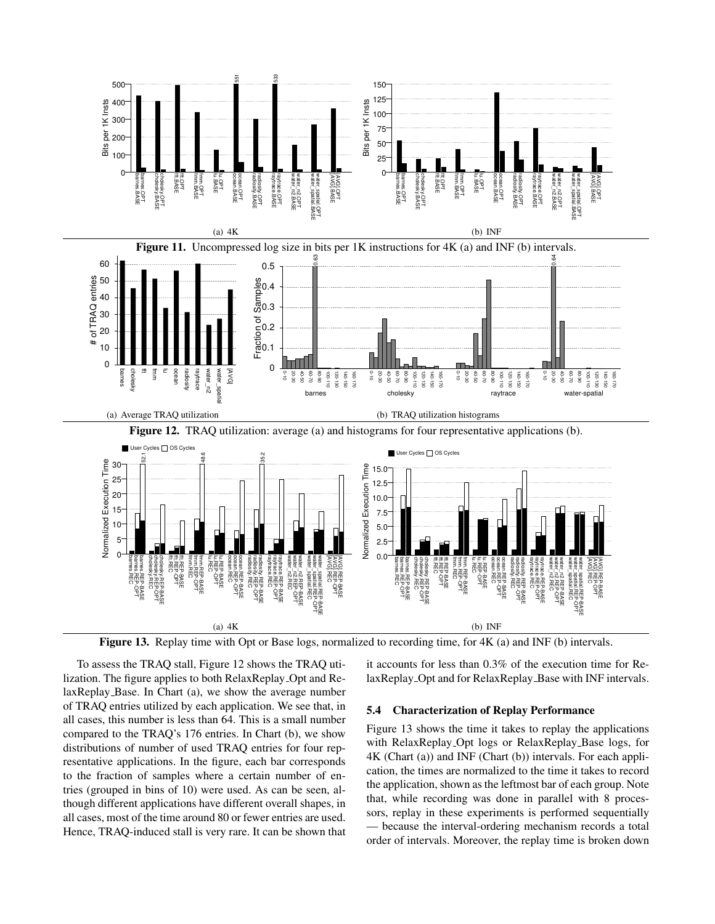

Figure 13. Replay time with Opt or Base logs, normalized to recording time, for 4K (a) and INF (b) intervals.

To assess the TRAQ stall, Figure 12 shows the TRAQ utilization. The figure applies to both RelaxReplay Opt and RelaxReplay Base. In Chart (a), we show the average number of TRAQ entries utilized by each application. We see that, in all cases, this number is less than 64. This is a small number compared to the TRAQ's 176 entries. In Chart (b), we show distributions of number of used TRAQ entries for four representative applications. In the figure, each bar corresponds to the fraction of samples where a certain number of entries (grouped in bins of 10) were used. As can be seen, although different applications have different overall shapes, in all cases, most of the time around 80 or fewer entries are used. Hence, TRAQ-induced stall is very rare. It can be shown that it accounts for less than 0.3% of the execution time for RelaxReplay Opt and for RelaxReplay Base with INF intervals.

### 5.4 Characterization of Replay Performance

Figure 13 shows the time it takes to replay the applications with RelaxReplay Opt logs or RelaxReplay Base logs, for 4K (Chart (a)) and INF (Chart (b)) intervals. For each application, the times are normalized to the time it takes to record the application, shown as the leftmost bar of each group. Note that, while recording was done in parallel with 8 processors, replay in these experiments is performed sequentially — because the interval-ordering mechanism records a total order of intervals. Moreover, the replay time is broken down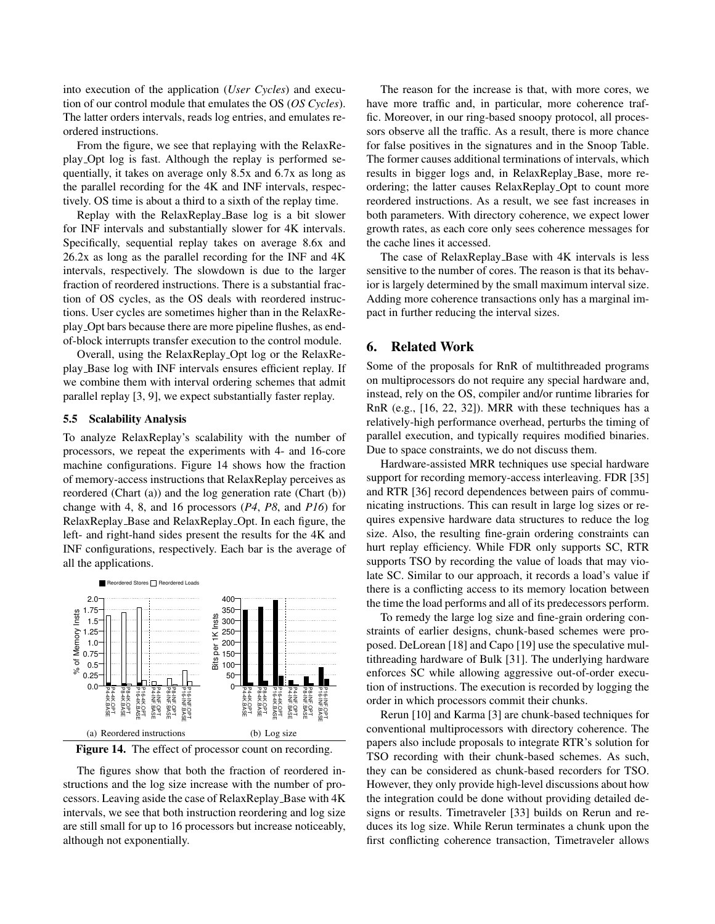into execution of the application (*User Cycles*) and execution of our control module that emulates the OS (*OS Cycles*). The latter orders intervals, reads log entries, and emulates reordered instructions.

From the figure, we see that replaying with the RelaxReplay Opt log is fast. Although the replay is performed sequentially, it takes on average only 8.5x and 6.7x as long as the parallel recording for the 4K and INF intervals, respectively. OS time is about a third to a sixth of the replay time.

Replay with the RelaxReplay Base log is a bit slower for INF intervals and substantially slower for 4K intervals. Specifically, sequential replay takes on average 8.6x and 26.2x as long as the parallel recording for the INF and 4K intervals, respectively. The slowdown is due to the larger fraction of reordered instructions. There is a substantial fraction of OS cycles, as the OS deals with reordered instructions. User cycles are sometimes higher than in the RelaxReplay Opt bars because there are more pipeline flushes, as endof-block interrupts transfer execution to the control module.

Overall, using the RelaxReplay Opt log or the RelaxReplay Base log with INF intervals ensures efficient replay. If we combine them with interval ordering schemes that admit parallel replay [3, 9], we expect substantially faster replay.

### 5.5 Scalability Analysis

To analyze RelaxReplay's scalability with the number of processors, we repeat the experiments with 4- and 16-core machine configurations. Figure 14 shows how the fraction of memory-access instructions that RelaxReplay perceives as reordered (Chart (a)) and the log generation rate (Chart (b)) change with 4, 8, and 16 processors (*P4*, *P8*, and *P16*) for RelaxReplay Base and RelaxReplay Opt. In each figure, the left- and right-hand sides present the results for the 4K and INF configurations, respectively. Each bar is the average of all the applications.



Figure 14. The effect of processor count on recording.

The figures show that both the fraction of reordered instructions and the log size increase with the number of processors. Leaving aside the case of RelaxReplay Base with 4K intervals, we see that both instruction reordering and log size are still small for up to 16 processors but increase noticeably, although not exponentially.

The reason for the increase is that, with more cores, we have more traffic and, in particular, more coherence traffic. Moreover, in our ring-based snoopy protocol, all processors observe all the traffic. As a result, there is more chance for false positives in the signatures and in the Snoop Table. The former causes additional terminations of intervals, which results in bigger logs and, in RelaxReplay Base, more reordering; the latter causes RelaxReplay Opt to count more reordered instructions. As a result, we see fast increases in both parameters. With directory coherence, we expect lower growth rates, as each core only sees coherence messages for the cache lines it accessed.

The case of RelaxReplay Base with 4K intervals is less sensitive to the number of cores. The reason is that its behavior is largely determined by the small maximum interval size. Adding more coherence transactions only has a marginal impact in further reducing the interval sizes.

# 6. Related Work

Some of the proposals for RnR of multithreaded programs on multiprocessors do not require any special hardware and, instead, rely on the OS, compiler and/or runtime libraries for RnR (e.g., [16, 22, 32]). MRR with these techniques has a relatively-high performance overhead, perturbs the timing of parallel execution, and typically requires modified binaries. Due to space constraints, we do not discuss them.

Hardware-assisted MRR techniques use special hardware support for recording memory-access interleaving. FDR [35] and RTR [36] record dependences between pairs of communicating instructions. This can result in large log sizes or requires expensive hardware data structures to reduce the log size. Also, the resulting fine-grain ordering constraints can hurt replay efficiency. While FDR only supports SC, RTR supports TSO by recording the value of loads that may violate SC. Similar to our approach, it records a load's value if there is a conflicting access to its memory location between the time the load performs and all of its predecessors perform.

To remedy the large log size and fine-grain ordering constraints of earlier designs, chunk-based schemes were proposed. DeLorean [18] and Capo [19] use the speculative multithreading hardware of Bulk [31]. The underlying hardware enforces SC while allowing aggressive out-of-order execution of instructions. The execution is recorded by logging the order in which processors commit their chunks.

Rerun [10] and Karma [3] are chunk-based techniques for conventional multiprocessors with directory coherence. The papers also include proposals to integrate RTR's solution for TSO recording with their chunk-based schemes. As such, they can be considered as chunk-based recorders for TSO. However, they only provide high-level discussions about how the integration could be done without providing detailed designs or results. Timetraveler [33] builds on Rerun and reduces its log size. While Rerun terminates a chunk upon the first conflicting coherence transaction, Timetraveler allows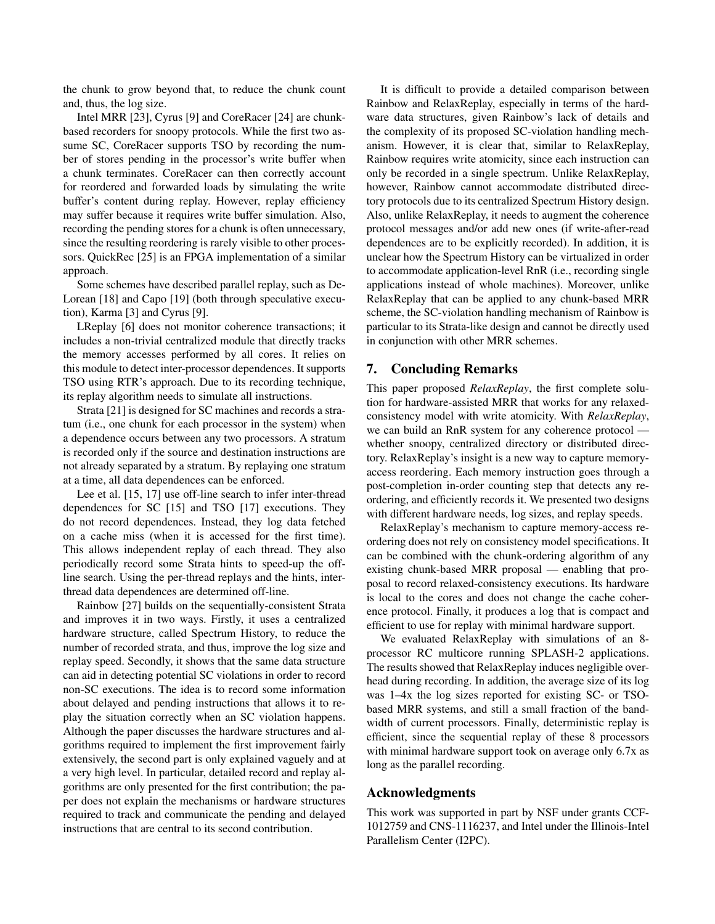the chunk to grow beyond that, to reduce the chunk count and, thus, the log size.

Intel MRR [23], Cyrus [9] and CoreRacer [24] are chunkbased recorders for snoopy protocols. While the first two assume SC, CoreRacer supports TSO by recording the number of stores pending in the processor's write buffer when a chunk terminates. CoreRacer can then correctly account for reordered and forwarded loads by simulating the write buffer's content during replay. However, replay efficiency may suffer because it requires write buffer simulation. Also, recording the pending stores for a chunk is often unnecessary, since the resulting reordering is rarely visible to other processors. QuickRec [25] is an FPGA implementation of a similar approach.

Some schemes have described parallel replay, such as De-Lorean [18] and Capo [19] (both through speculative execution), Karma [3] and Cyrus [9].

LReplay [6] does not monitor coherence transactions; it includes a non-trivial centralized module that directly tracks the memory accesses performed by all cores. It relies on this module to detect inter-processor dependences. It supports TSO using RTR's approach. Due to its recording technique, its replay algorithm needs to simulate all instructions.

Strata [21] is designed for SC machines and records a stratum (i.e., one chunk for each processor in the system) when a dependence occurs between any two processors. A stratum is recorded only if the source and destination instructions are not already separated by a stratum. By replaying one stratum at a time, all data dependences can be enforced.

Lee et al. [15, 17] use off-line search to infer inter-thread dependences for SC [15] and TSO [17] executions. They do not record dependences. Instead, they log data fetched on a cache miss (when it is accessed for the first time). This allows independent replay of each thread. They also periodically record some Strata hints to speed-up the offline search. Using the per-thread replays and the hints, interthread data dependences are determined off-line.

Rainbow [27] builds on the sequentially-consistent Strata and improves it in two ways. Firstly, it uses a centralized hardware structure, called Spectrum History, to reduce the number of recorded strata, and thus, improve the log size and replay speed. Secondly, it shows that the same data structure can aid in detecting potential SC violations in order to record non-SC executions. The idea is to record some information about delayed and pending instructions that allows it to replay the situation correctly when an SC violation happens. Although the paper discusses the hardware structures and algorithms required to implement the first improvement fairly extensively, the second part is only explained vaguely and at a very high level. In particular, detailed record and replay algorithms are only presented for the first contribution; the paper does not explain the mechanisms or hardware structures required to track and communicate the pending and delayed instructions that are central to its second contribution.

It is difficult to provide a detailed comparison between Rainbow and RelaxReplay, especially in terms of the hardware data structures, given Rainbow's lack of details and the complexity of its proposed SC-violation handling mechanism. However, it is clear that, similar to RelaxReplay, Rainbow requires write atomicity, since each instruction can only be recorded in a single spectrum. Unlike RelaxReplay, however, Rainbow cannot accommodate distributed directory protocols due to its centralized Spectrum History design. Also, unlike RelaxReplay, it needs to augment the coherence protocol messages and/or add new ones (if write-after-read dependences are to be explicitly recorded). In addition, it is unclear how the Spectrum History can be virtualized in order to accommodate application-level RnR (i.e., recording single applications instead of whole machines). Moreover, unlike RelaxReplay that can be applied to any chunk-based MRR scheme, the SC-violation handling mechanism of Rainbow is particular to its Strata-like design and cannot be directly used in conjunction with other MRR schemes.

# 7. Concluding Remarks

This paper proposed *RelaxReplay*, the first complete solution for hardware-assisted MRR that works for any relaxedconsistency model with write atomicity. With *RelaxReplay*, we can build an RnR system for any coherence protocol whether snoopy, centralized directory or distributed directory. RelaxReplay's insight is a new way to capture memoryaccess reordering. Each memory instruction goes through a post-completion in-order counting step that detects any reordering, and efficiently records it. We presented two designs with different hardware needs, log sizes, and replay speeds.

RelaxReplay's mechanism to capture memory-access reordering does not rely on consistency model specifications. It can be combined with the chunk-ordering algorithm of any existing chunk-based MRR proposal — enabling that proposal to record relaxed-consistency executions. Its hardware is local to the cores and does not change the cache coherence protocol. Finally, it produces a log that is compact and efficient to use for replay with minimal hardware support.

We evaluated RelaxReplay with simulations of an 8 processor RC multicore running SPLASH-2 applications. The results showed that RelaxReplay induces negligible overhead during recording. In addition, the average size of its log was 1–4x the log sizes reported for existing SC- or TSObased MRR systems, and still a small fraction of the bandwidth of current processors. Finally, deterministic replay is efficient, since the sequential replay of these 8 processors with minimal hardware support took on average only 6.7x as long as the parallel recording.

# Acknowledgments

This work was supported in part by NSF under grants CCF-1012759 and CNS-1116237, and Intel under the Illinois-Intel Parallelism Center (I2PC).